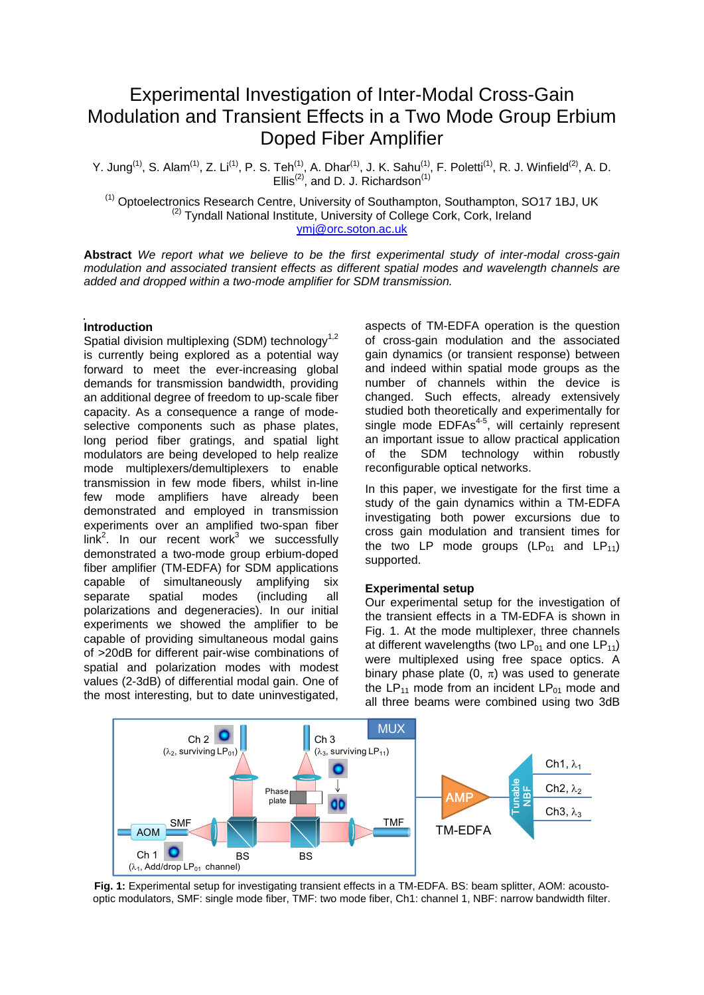# Experimental Investigation of Inter-Modal Cross-Gain Modulation and Transient Effects in a Two Mode Group Erbium Doped Fiber Amplifier

Y. Jung<sup>(1)</sup>, S. Alam<sup>(1)</sup>, Z. Li<sup>(1)</sup>, P. S. Teh<sup>(1)</sup>, A. Dhar<sup>(1)</sup>, J. K. Sahu<sup>(1)</sup>, F. Poletti<sup>(1)</sup>, R. J. Winfield<sup>(2)</sup>, A. D. Ellis<sup>(2)</sup>, and D. J. Richardson<sup>(1)</sup>

<sup>(1)</sup> Optoelectronics Research Centre, University of Southampton, Southampton, SO17 1BJ, UK (2) Tyndall National Institute, University of College Cork, Cork, Ireland ymj@orc.soton.ac.uk

**Abstract** *We report what we believe to be the first experimental study of inter-modal cross-gain modulation and associated transient effects as different spatial modes and wavelength channels are added and dropped within a two-mode amplifier for SDM transmission.*

# **Introduction**

Spatial division multiplexing (SDM) technology<sup>1,2</sup> is currently being explored as a potential way forward to meet the ever-increasing global demands for transmission bandwidth, providing an additional degree of freedom to up-scale fiber capacity. As a consequence a range of modeselective components such as phase plates, long period fiber gratings, and spatial light modulators are being developed to help realize mode multiplexers/demultiplexers to enable transmission in few mode fibers, whilst in-line few mode amplifiers have already been demonstrated and employed in transmission experiments over an amplified two-span fiber  $link<sup>2</sup>$ . In our recent work<sup>3</sup> we successfully demonstrated a two-mode group erbium-doped fiber amplifier (TM-EDFA) for SDM applications capable of simultaneously amplifying six separate spatial modes (including all polarizations and degeneracies). In our initial experiments we showed the amplifier to be capable of providing simultaneous modal gains of >20dB for different pair-wise combinations of spatial and polarization modes with modest values (2-3dB) of differential modal gain. One of the most interesting, but to date uninvestigated,

aspects of TM-EDFA operation is the question of cross-gain modulation and the associated gain dynamics (or transient response) between and indeed within spatial mode groups as the number of channels within the device is changed. Such effects, already extensively studied both theoretically and experimentally for single mode EDFAs<sup>4-5</sup>, will certainly represent an important issue to allow practical application of the SDM technology within robustly reconfigurable optical networks.

In this paper, we investigate for the first time a study of the gain dynamics within a TM-EDFA investigating both power excursions due to cross gain modulation and transient times for the two LP mode groups  $(LP_{01}$  and  $LP_{11})$ supported.

#### **Experimental setup**

Our experimental setup for the investigation of the transient effects in a TM-EDFA is shown in Fig. 1. At the mode multiplexer, three channels at different wavelengths (two  $LP_{01}$  and one  $LP_{11}$ ) were multiplexed using free space optics. A binary phase plate  $(0, \pi)$  was used to generate the  $LP_{11}$  mode from an incident  $LP_{01}$  mode and all three beams were combined using two 3dB



**Fig. 1:** Experimental setup for investigating transient effects in a TM-EDFA. BS: beam splitter, AOM: acousto-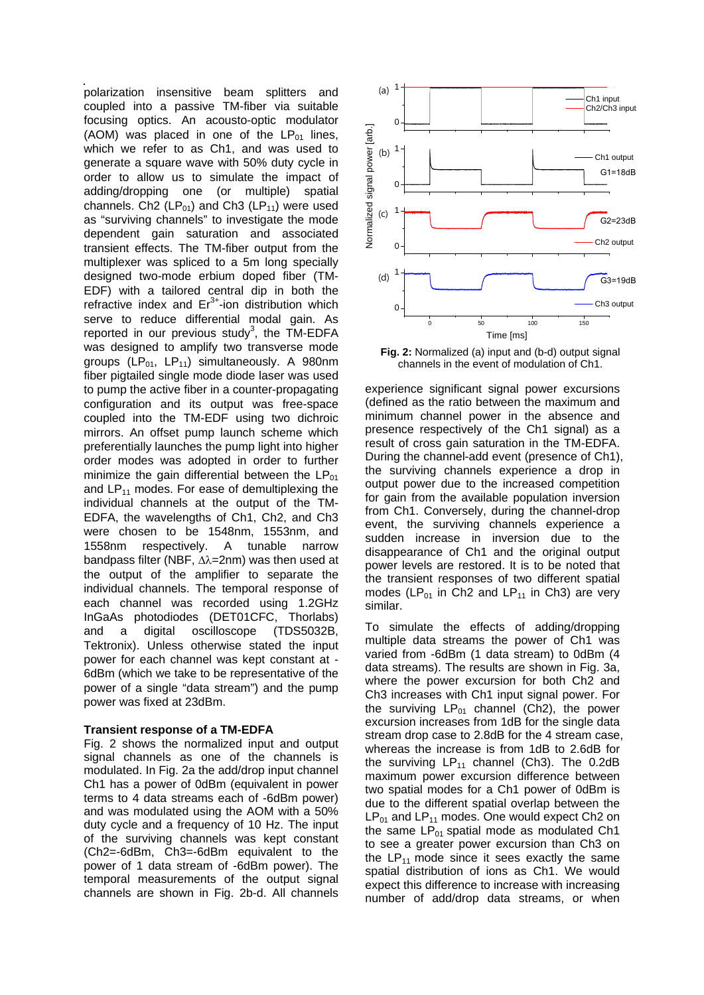polarization insensitive beam splitters and coupled into a passive TM-fiber via suitable focusing optics. An acousto-optic modulator (AOM) was placed in one of the  $LP_{01}$  lines, which we refer to as Ch1, and was used to generate a square wave with 50% duty cycle in order to allow us to simulate the impact of adding/dropping one (or multiple) spatial channels. Ch2 ( $LP_{01}$ ) and Ch3 ( $LP_{11}$ ) were used as "surviving channels" to investigate the mode dependent gain saturation and associated transient effects. The TM-fiber output from the multiplexer was spliced to a 5m long specially designed two-mode erbium doped fiber (TM-EDF) with a tailored central dip in both the refractive index and  $Er<sup>3+</sup>$ -ion distribution which serve to reduce differential modal gain. As reported in our previous study<sup>3</sup>, the  $TM$ -EDFA was designed to amplify two transverse mode groups ( $LP_{01}$ ,  $LP_{11}$ ) simultaneously. A 980nm fiber pigtailed single mode diode laser was used to pump the active fiber in a counter-propagating configuration and its output was free-space coupled into the TM-EDF using two dichroic mirrors. An offset pump launch scheme which preferentially launches the pump light into higher order modes was adopted in order to further minimize the gain differential between the  $LP_{01}$ and  $LP_{11}$  modes. For ease of demultiplexing the individual channels at the output of the TM-EDFA, the wavelengths of Ch1, Ch2, and Ch3 were chosen to be 1548nm, 1553nm, and 1558nm respectively. A tunable narrow bandpass filter (NBF,  $\Delta \lambda = 2$ nm) was then used at the output of the amplifier to separate the individual channels. The temporal response of each channel was recorded using 1.2GHz InGaAs photodiodes (DET01CFC, Thorlabs) and a digital oscilloscope (TDS5032B, Tektronix). Unless otherwise stated the input power for each channel was kept constant at - 6dBm (which we take to be representative of the power of a single "data stream") and the pump power was fixed at 23dBm.

### **Transient response of a TM-EDFA**

Fig. 2 shows the normalized input and output signal channels as one of the channels is modulated. In Fig. 2a the add/drop input channel Ch1 has a power of 0dBm (equivalent in power terms to 4 data streams each of -6dBm power) and was modulated using the AOM with a 50% duty cycle and a frequency of 10 Hz. The input of the surviving channels was kept constant (Ch2=-6dBm, Ch3=-6dBm equivalent to the power of 1 data stream of -6dBm power). The temporal measurements of the output signal channels are shown in Fig. 2b-d. All channels



**Fig. 2:** Normalized (a) input and (b-d) output signal channels in the event of modulation of Ch1.

experience significant signal power excursions (defined as the ratio between the maximum and minimum channel power in the absence and presence respectively of the Ch1 signal) as a result of cross gain saturation in the TM-EDFA. During the channel-add event (presence of Ch1), the surviving channels experience a drop in output power due to the increased competition for gain from the available population inversion from Ch1. Conversely, during the channel-drop event, the surviving channels experience a sudden increase in inversion due to the disappearance of Ch1 and the original output power levels are restored. It is to be noted that the transient responses of two different spatial modes ( $LP_{01}$  in Ch2 and  $LP_{11}$  in Ch3) are very similar.

To simulate the effects of adding/dropping multiple data streams the power of Ch1 was varied from -6dBm (1 data stream) to 0dBm (4 data streams). The results are shown in Fig. 3a, where the power excursion for both Ch<sub>2</sub> and Ch3 increases with Ch1 input signal power. For the surviving  $LP_{01}$  channel (Ch2), the power excursion increases from 1dB for the single data stream drop case to 2.8dB for the 4 stream case, whereas the increase is from 1dB to 2.6dB for the surviving  $LP_{11}$  channel (Ch3). The 0.2dB maximum power excursion difference between two spatial modes for a Ch1 power of 0dBm is due to the different spatial overlap between the  $LP_{01}$  and  $LP_{11}$  modes. One would expect Ch2 on the same  $LP_{01}$  spatial mode as modulated Ch1 to see a greater power excursion than Ch3 on the  $LP_{11}$  mode since it sees exactly the same spatial distribution of ions as Ch1. We would expect this difference to increase with increasing number of add/drop data streams, or when